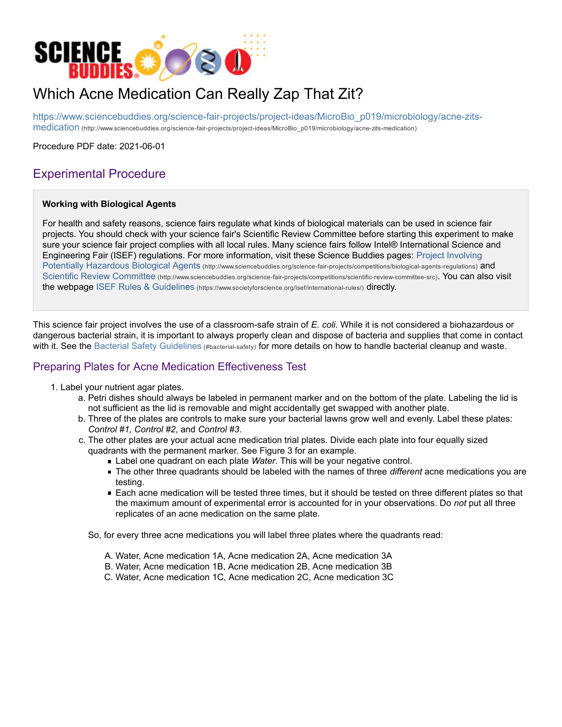

# Which Acne Medication Can Really Zap That Zit?

https://www.sciencebuddies.org/science-fair-projects/project-ideas/MicroBio\_p019/microbiology/acne-zitsmedication (http://www.sciencebuddies.org/science-fair-projects/project-ideas/MicroBio\_p019/microbiology/acne-zits-medication)

Procedure PDF date: 2021-06-01

# Experimental Procedure

#### **Working with Biological Agents**

For health and safety reasons, science fairs regulate what kinds of biological materials can be used in science fair projects. You should check with your science fair's Scientific Review Committee before starting this experiment to make sure your science fair project complies with all local rules. Many science fairs follow Intel® International Science and Engineering Fair (ISEF) regulations. For more information, visit these Science Buddies pages: Project Involving Potentially Hazardous Biological Agents (http://www.sciencebuddies.org/science-fair-projects/competitions/biological-agents-regulations) and Scientific Review Committee (http://www.sciencebuddies.org/science-fair-projects/competitions/scientific-review-committee-src). You can also visit the webpage ISEF Rules & Guidelines (https://www.societyforscience.org/isef/international-rules/) directly.

This science fair project involves the use of a classroom-safe strain of *E. coli*. While it is not considered a biohazardous or dangerous bacterial strain, it is important to always properly clean and dispose of bacteria and supplies that come in contact with it. See the Bacterial Safety Guidelines (#bacterial-safety) for more details on how to handle bacterial cleanup and waste.

# Preparing Plates for Acne Medication Effectiveness Test

- 1. Label your nutrient agar plates.
	- a. Petri dishes should always be labeled in permanent marker and on the bottom of the plate. Labeling the lid is not sufficient as the lid is removable and might accidentally get swapped with another plate.
	- b. Three of the plates are controls to make sure your bacterial lawns grow well and evenly. Label these plates: *Control #1, Control #2*, and *Control #3*.
	- c. The other plates are your actual acne medication trial plates. Divide each plate into four equally sized quadrants with the permanent marker. See Figure 3 for an example.
		- Label one quadrant on each plate *Water*. This will be your negative control.
		- The other three quadrants should be labeled with the names of three *different* acne medications you are testing.
		- Each acne medication will be tested three times, but it should be tested on three different plates so that the maximum amount of experimental error is accounted for in your observations. Do *not* put all three replicates of an acne medication on the same plate.

So, for every three acne medications you will label three plates where the quadrants read:

- A. Water, Acne medication 1A, Acne medication 2A, Acne medication 3A
- B. Water, Acne medication 1B, Acne medication 2B, Acne medication 3B
- C. Water, Acne medication 1C, Acne medication 2C, Acne medication 3C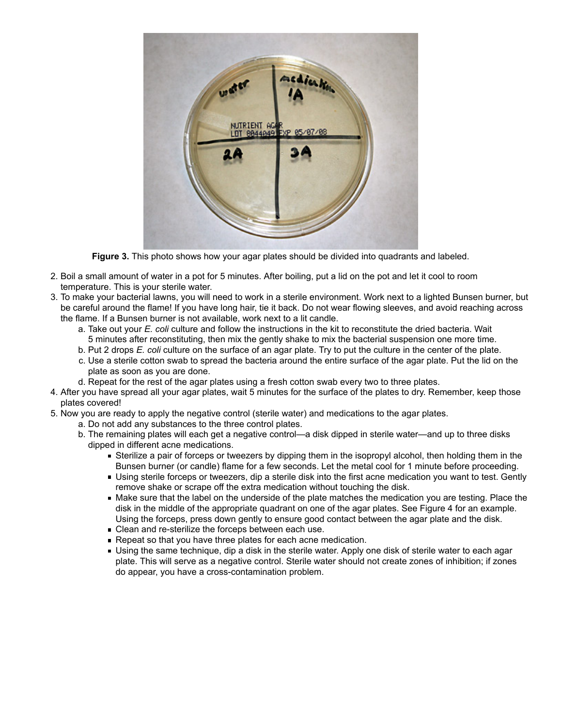

**Figure 3.** This photo shows how your agar plates should be divided into quadrants and labeled.

- 2. Boil a small amount of water in a pot for 5 minutes. After boiling, put a lid on the pot and let it cool to room temperature. This is your sterile water.
- 3. To make your bacterial lawns, you will need to work in a sterile environment. Work next to a lighted Bunsen burner, but be careful around the flame! If you have long hair, tie it back. Do not wear flowing sleeves, and avoid reaching across the flame. If a Bunsen burner is not available, work next to a lit candle.
	- a. Take out your *E. coli* culture and follow the instructions in the kit to reconstitute the dried bacteria. Wait 5 minutes after reconstituting, then mix the gently shake to mix the bacterial suspension one more time.
	- b. Put 2 drops *E. coli* culture on the surface of an agar plate. Try to put the culture in the center of the plate.
	- c. Use a sterile cotton swab to spread the bacteria around the entire surface of the agar plate. Put the lid on the plate as soon as you are done.
	- d. Repeat for the rest of the agar plates using a fresh cotton swab every two to three plates.
- 4. After you have spread all your agar plates, wait 5 minutes for the surface of the plates to dry. Remember, keep those plates covered!
- 5. Now you are ready to apply the negative control (sterile water) and medications to the agar plates.
	- a. Do not add any substances to the three control plates.
	- b. The remaining plates will each get a negative control—a disk dipped in sterile water—and up to three disks dipped in different acne medications.
		- Sterilize a pair of forceps or tweezers by dipping them in the isopropyl alcohol, then holding them in the Bunsen burner (or candle) flame for a few seconds. Let the metal cool for 1 minute before proceeding.
		- Using sterile forceps or tweezers, dip a sterile disk into the first acne medication you want to test. Gently remove shake or scrape off the extra medication without touching the disk.
		- Make sure that the label on the underside of the plate matches the medication you are testing. Place the disk in the middle of the appropriate quadrant on one of the agar plates. See Figure 4 for an example. Using the forceps, press down gently to ensure good contact between the agar plate and the disk.
		- **Clean and re-sterilize the forceps between each use.**
		- Repeat so that you have three plates for each acne medication.
		- Using the same technique, dip a disk in the sterile water. Apply one disk of sterile water to each agar plate. This will serve as a negative control. Sterile water should not create zones of inhibition; if zones do appear, you have a cross-contamination problem.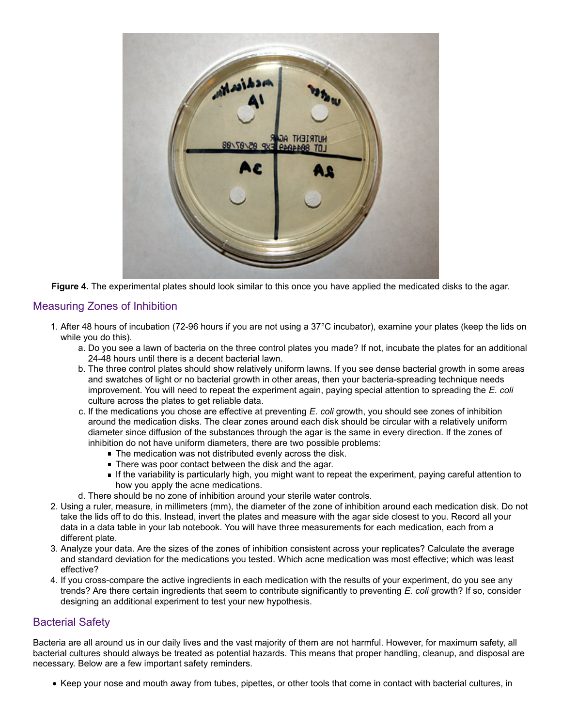

**Figure 4.** The experimental plates should look similar to this once you have applied the medicated disks to the agar.

## Measuring Zones of Inhibition

- 1. After 48 hours of incubation (72-96 hours if you are not using a 37°C incubator), examine your plates (keep the lids on while you do this).
	- a. Do you see a lawn of bacteria on the three control plates you made? If not, incubate the plates for an additional 24-48 hours until there is a decent bacterial lawn.
	- b. The three control plates should show relatively uniform lawns. If you see dense bacterial growth in some areas and swatches of light or no bacterial growth in other areas, then your bacteria-spreading technique needs improvement. You will need to repeat the experiment again, paying special attention to spreading the *E. coli* culture across the plates to get reliable data.
	- c. If the medications you chose are effective at preventing *E. coli* growth, you should see zones of inhibition around the medication disks. The clear zones around each disk should be circular with a relatively uniform diameter since diffusion of the substances through the agar is the same in every direction. If the zones of inhibition do not have uniform diameters, there are two possible problems:
		- The medication was not distributed evenly across the disk.
		- **There was poor contact between the disk and the agar.**
		- If the variability is particularly high, you might want to repeat the experiment, paying careful attention to how you apply the acne medications.
	- d. There should be no zone of inhibition around your sterile water controls.
- 2. Using a ruler, measure, in millimeters (mm), the diameter of the zone of inhibition around each medication disk. Do not take the lids off to do this. Instead, invert the plates and measure with the agar side closest to you. Record all your data in a data table in your lab notebook. You will have three measurements for each medication, each from a different plate.
- 3. Analyze your data. Are the sizes of the zones of inhibition consistent across your replicates? Calculate the average and standard deviation for the medications you tested. Which acne medication was most effective; which was least effective?
- 4. If you cross-compare the active ingredients in each medication with the results of your experiment, do you see any trends? Are there certain ingredients that seem to contribute significantly to preventing *E. coli* growth? If so, consider designing an additional experiment to test your new hypothesis.

### Bacterial Safety

Bacteria are all around us in our daily lives and the vast majority of them are not harmful. However, for maximum safety, all bacterial cultures should always be treated as potential hazards. This means that proper handling, cleanup, and disposal are necessary. Below are a few important safety reminders.

Keep your nose and mouth away from tubes, pipettes, or other tools that come in contact with bacterial cultures, in